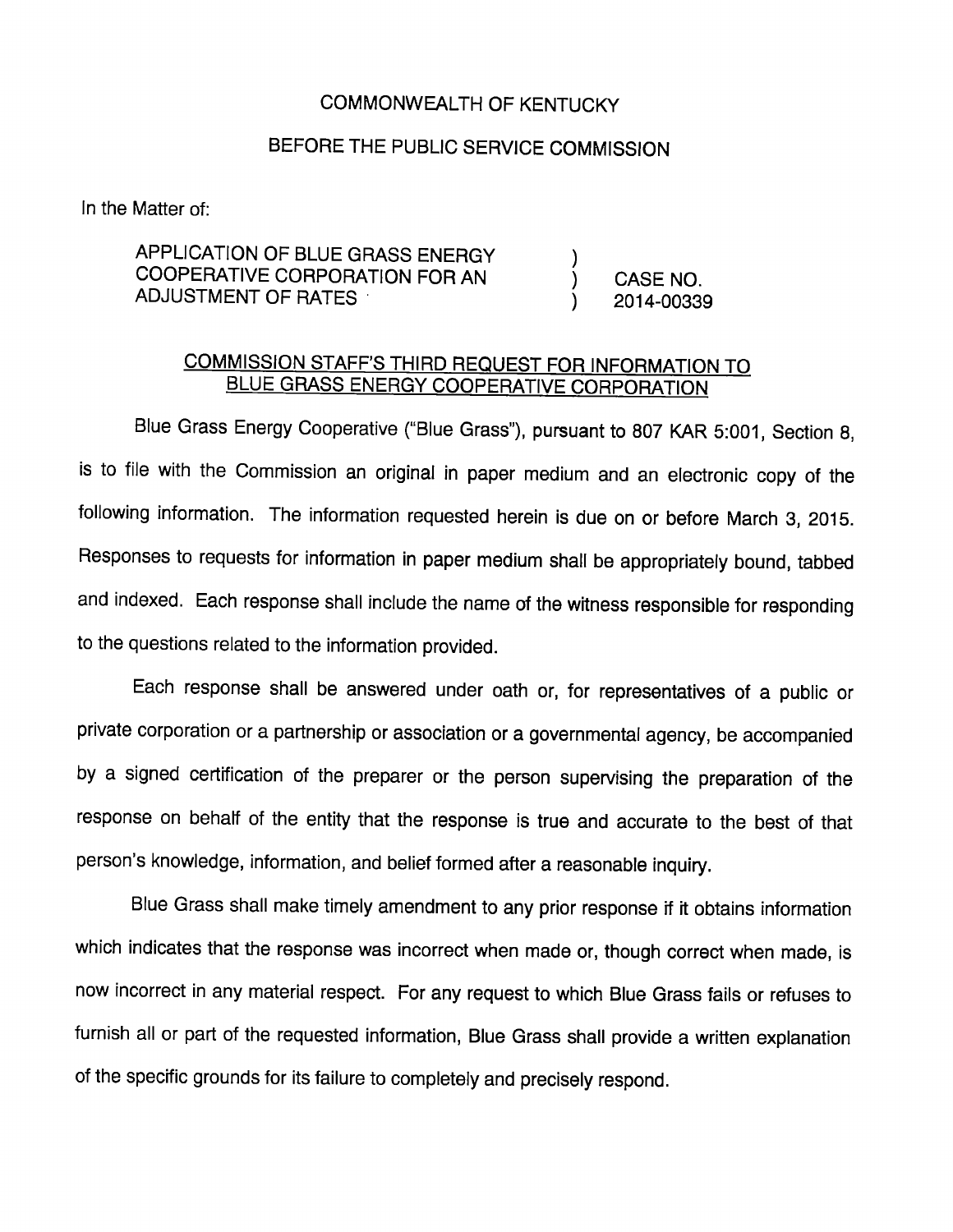## COMMONWEALTH OF KENTUCKY

## BEFORE THE PUBLIC SERVICE COMMISSION

In the Matter of:

## APPLICATION OF BLUE GRASS ENERGY COOPERATIVE CORPORATION FOR AN ) CASE NO. ADJUSTMENT OF RATES (2014-00339

## COMMISSION STAFF'S THIRD REQUEST FOR INFORMATION TO BLUE GRASS ENERGY COOPERATIVE CORPORATION

Blue Grass Energy Cooperative ("Blue Grass"), pursuant to 807 KAR 5:001, Section 8, is to fiie with the Commission an originai in paper medium and an electronic copy of the foliowing information. The information requested herein is due on or before March 3, 2015. Responses to requests for information in paper medium shall be appropriately bound, tabbed and indexed. Each response shall include the name of the witness responsible for responding to the questions reiated to the information provided.

Each response shall be answered under oath or, for representatives of a public or private corporation or a partnership or association or a governmentai agency, be accompanied by a signed certification of the preparer or the person supervising the preparation of the response on behalf of the entity that the response is true and accurate to the best of that person's knowledge, information, and belief formed after a reasonable inquiry.

Blue Grass shall make timely amendment to any prior response if it obtains information which indicates that the response was incorrect when made or, though correct when made, is now incorrect in any material respect. For any request to which Blue Grass fails or refuses to furnish all or part of the requested information. Blue Grass shall provide a written explanation of the specific grounds for its failure to completely and precisely respond.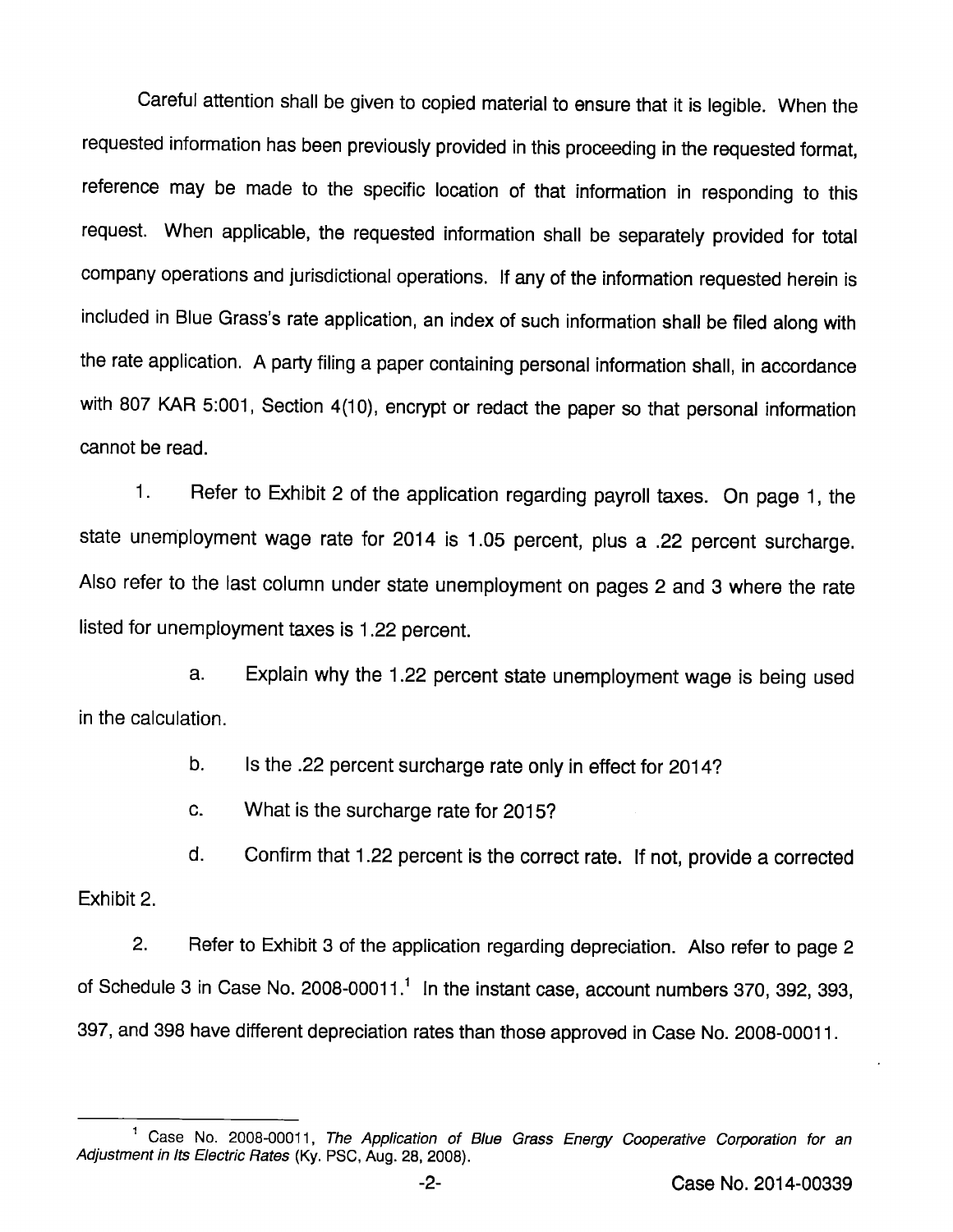Careful attention shall be given to copied material to ensure that it is iegibie. When the requested information has been previously provided in this proceeding in the requested format, reference may be made to the specific location of that information in responding to this request. When applicable, the requested information shall be separately provided for total company operations and jurisdictional operations. If any of the information requested herein is included in Blue Grass's rate application, an index of such information shall be filed along with the rate application. A party filing a paper containing personal information shall, in accordance with 807 KAR 5:001, Section 4(10), encrypt or redact the paper so that personal information cannot be read.

1. Refer to Exhibit 2 of the application regarding payroll taxes. On page 1, the state unemployment wage rate for 2014 is 1.05 percent, plus a .22 percent surcharge. Also refer to the last column under state unemployment on pages 2 and 3 where the rate listed for unemployment taxes is 1.22 percent.

a. Explain why the 1.22 percent state unemployment wage is being used in the calculation.

b. Is the .22 percent surcharge rate only in effect for 2014?

c. What is the surcharge rate for 2015?

d. Confirm that 1.22 percent is the correct rate. If not, provide a corrected Exhibit 2.

2. Refer to Exhibit 3 of the application regarding depreciation. Also refer to page 2 of Schedule 3 in Case No. 2008-00011.<sup>1</sup> In the instant case, account numbers 370, 392, 393, 397, and 398 have different depreciation rates than those approved in Case No. 2008-00011.

<sup>&</sup>lt;sup>1</sup> Case No. 2008-00011, The Application of Blue Grass Energy Cooperative Corporation for an Adjustment in Its Electric Rates (Ky. PSC, Aug. 28, 2008).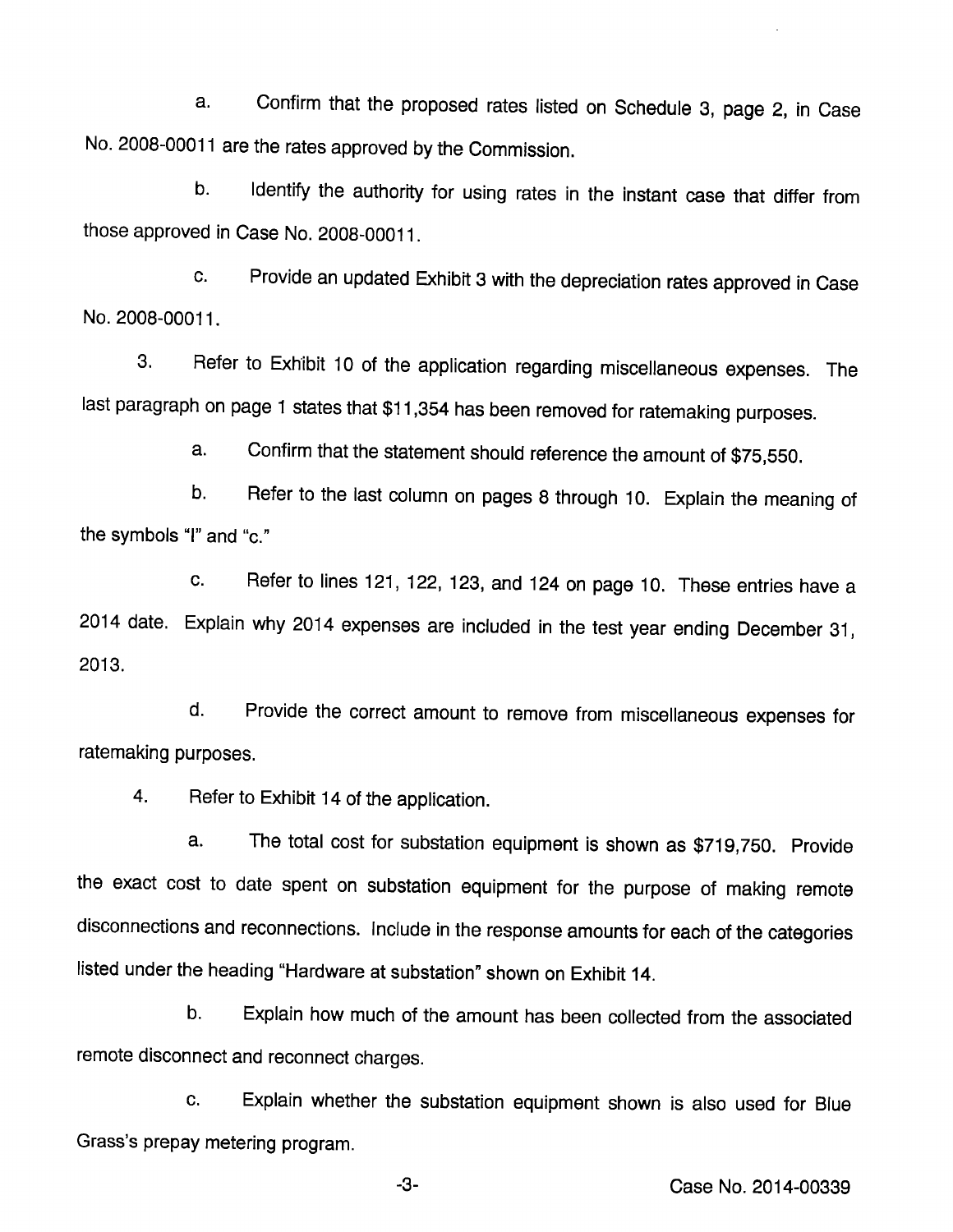a. Confirm that the proposed rates listed on Schedule 3, page 2, in Case No. 2008-00011 are the rates approved by the Commission.

b. Identify the authority for using rates in the instant case that differ from those approved in Case No. 2008-00011.

c. Provide an updated Exhibit 3 with the depreciation rates approved in Case No. 2008-00011.

3. Refer to Exhibit 10 of the application regarding miscellaneous expenses. The last paragraph on page 1 states that \$11,354 has been removed for ratemaking purposes.

a. Confirm that the statement should reference the amount of \$75,550.

b. Refer to the last column on pages 8 through 10. Explain the meaning of the symbols "I" and "c."

c. Refer to lines 121, 122, 123, and 124 on page 10. These entries have a 2014 date. Explain why 2014 expenses are included in the test year ending December 31, 2013.

d. Provide the correct amount to remove from miscellaneous expenses for ratemaking purposes.

4. Refer to Exhibit 14 of the application.

a. The total cost for substation equipment is shown as \$719,750. Provide the exact cost to date spent on substation equipment for the purpose of making remote disconnections and reconnections. Include in the response amounts for each of the categories listed under the heading "Hardware at substation" shown on Exhibit 14.

b. Explain how much of the amount has been collected from the associated remote disconnect and reconnect charges.

c. Explain whether the substation equipment shown is also used for Blue Grass's prepay metering program.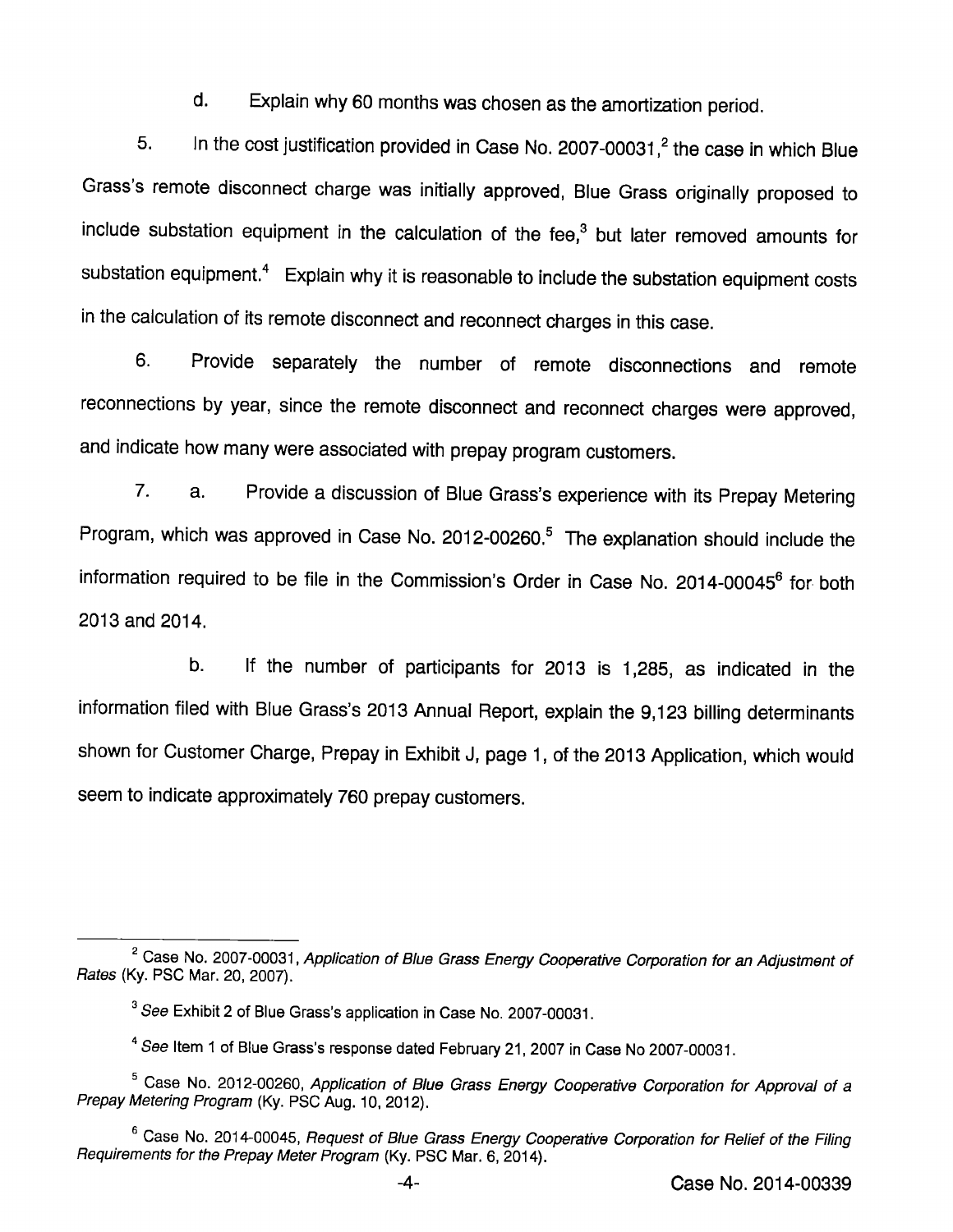d. Explain why 60 months was chosen asthe amortization period.

5. In the cost justification provided in Case No. 2007-00031, $^2$  the case in which Blue Grass's remote disconnect charge was initially approved, Blue Grass originally proposed to include substation equipment in the calculation of the fee, $<sup>3</sup>$  but later removed amounts for</sup> substation equipment. $<sup>4</sup>$  Explain why it is reasonable to include the substation equipment costs</sup> in the calculation of its remote disconnect and reconnect charges in this case.

6. Provide separately the number of remote disconnections and remote reconnections by year, since the remote disconnect and reconnect charges were approved, and indicate how many were associated with prepay program customers.

 $7<sub>1</sub>$ Provide a discussion of Blue Grass's experience with its Prepay Metering a. Program, which was approved in Case No. 2012-00260.<sup>5</sup> The explanation should include the information required to be file in the Commission's Order in Case No. 2014-00045® for both 2013 and 2014.

b. If the number of participants for 2013 is 1,285, as indicated in the information filed with Blue Grass's 2013 Annual Report, explain the 9,123 billing determinants shown for Customer Charge, Prepay in Exhibit J, page 1, of the 2013 Application, which would seem to indicate approximately 760 prepay customers.

<sup>&</sup>lt;sup>2</sup> Case No. 2007-00031, Application of Blue Grass Energy Cooperative Corporation for an Adjustment of Rates (Ky. PSC Mar. 20, 2007).

 $^3$  *See* Exhibit 2 of Blue Grass's application in Case No. 2007-00031.

 $^4$  *See* Item 1 of Blue Grass's response dated February 21, 2007 in Case No 2007-00031.

<sup>&</sup>lt;sup>5</sup> Case No. 2012-00260, Application of Blue Grass Energy Cooperative Corporation for Approval of a Prepay Metering Program (Ky. PSC Aug. 10, 2012).

<sup>&</sup>lt;sup>6</sup> Case No. 2014-00045, Request of Blue Grass Energy Cooperative Corporation for Relief of the Filing Requirements for the Prepay Meter Program (Ky. PSC Mar. 6, 2014).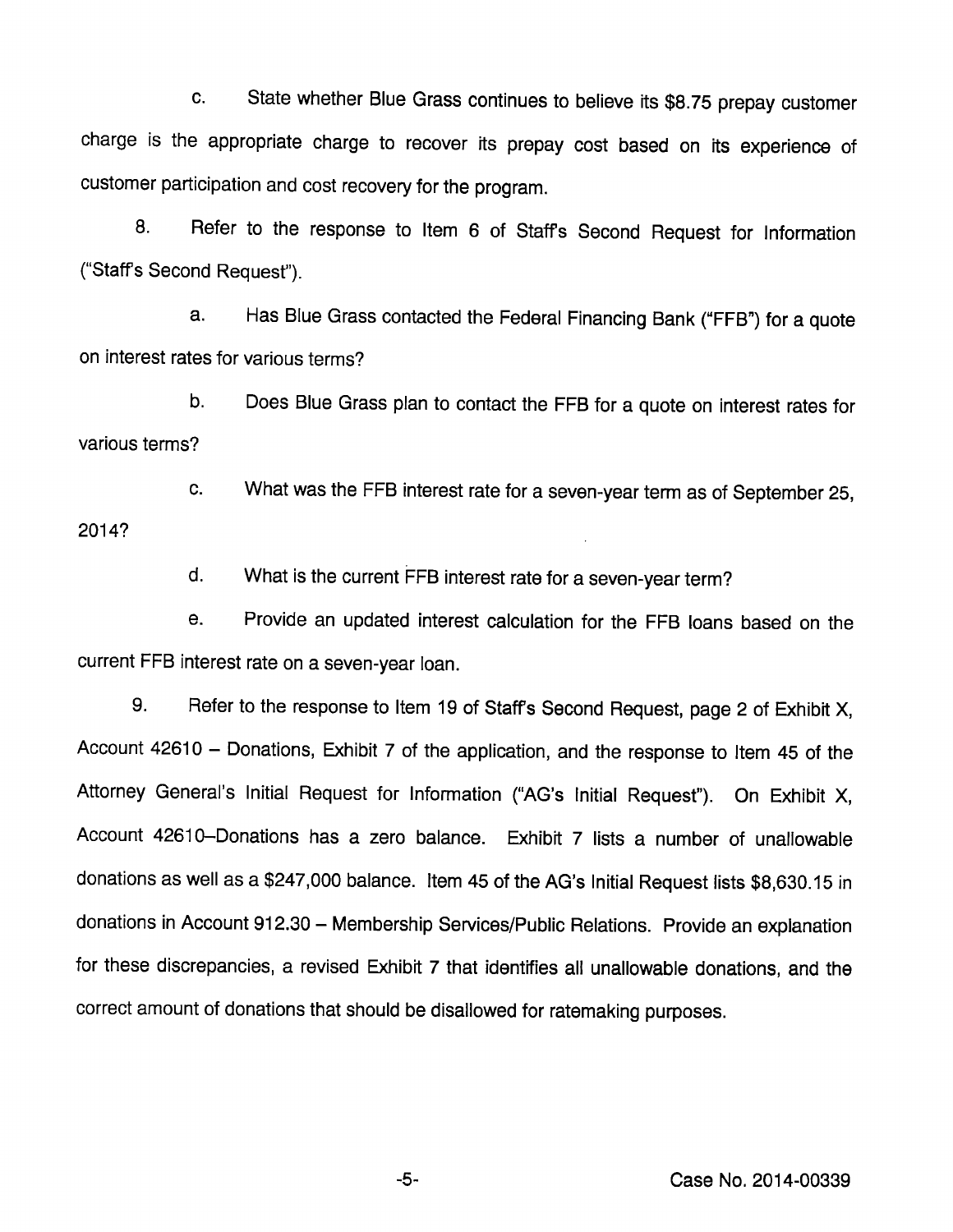c. State whether Blue Grass continues to believe its \$8.75 prepay customer charge is the appropriate charge to recover its prepay cost based on its experience of customer participation and cost recovery for the program.

8. Refer to the response to item 6 of Staffs Second Request for information ("Staffs Second Requesf).

a. Has Blue Grass contacted the Federal Financing Bank ("FFB") for a quote on interest rates for various terms?

b. Does Blue Grass plan to contact the FFB for a quote on interest rates for various terms?

c. What was the FFB interest rate for a seven-year term as of September 25, 2014?

d. What is the current FFB interest rate for a seven-year term?

e. Provide an updated interest calculation for the FFB loans based on the current FFB interest rate on a seven-year loan.

9. Refer to the response to Item 19 of Staffs Second Request, page 2 of Exhibit X, Account 42610 - Donations, Exhibit 7 of the application, and the response to Item 45 of the Attorney General's Initial Request for Information ("AG's Initial Request"). On Exhibit X, Account 42610-Donations has a zero balance. Exhibit 7 lists a number of unallowable donations as well as a \$247,000 balance. Item 45 of the AG's Initial Request lists \$8,630.15 in donations in Account 912.30 - Membership Services/Public Relations. Provide an explanation for these discrepancies, a revised Exhibit 7 that identifies all unallowable donations, and the correct amount of donations that should be disallowed for ratemaking purposes.

Case No. 2014-00339

-5-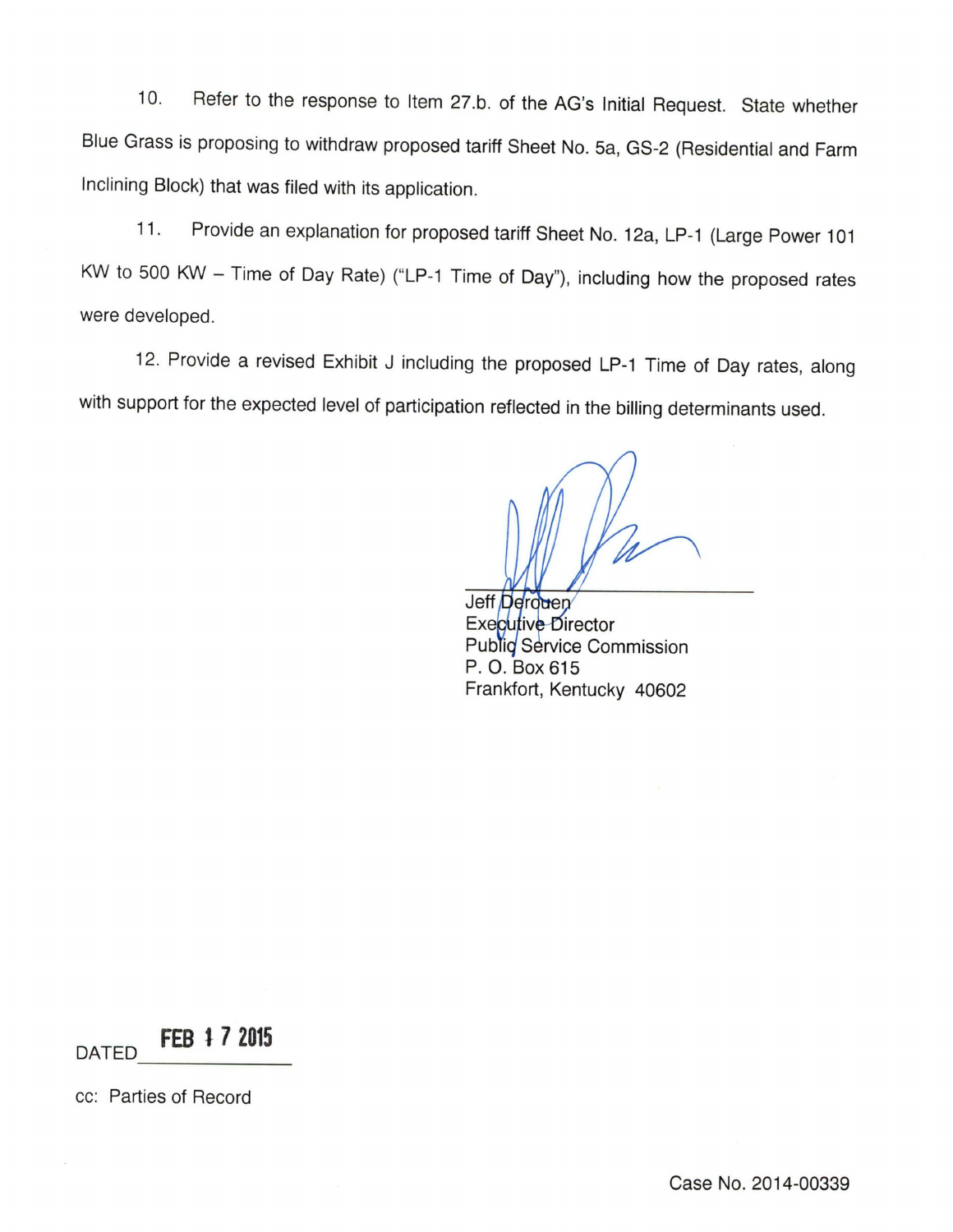10. Refer to the response to Item 27.b. of the AG's Initial Request. State whether Blue Grass is proposing to withdraw proposed tariff Sheet No. 5a, GS-2 (Residential and Farm Inclining Block) that was filed with its application.

11. Provide an explanation for proposed tariff Sheet No. 12a, LP-1 (Large Power 101 KW to 500 KW - Time of Day Rate) ("LP-1 Time of Day"), including how the proposed rates were developed.

12. Provide a revised Exhibit J including the proposed LP-1 Time of Day rates, along with support for the expected level of participation reflected in the billing determinants used.

Jeff Derouen Executive Director Public Service Commission P. O. Box 615 Frankfort, Kentucky 40602

DATED FEB i 7 2015

cc: Parties of Record